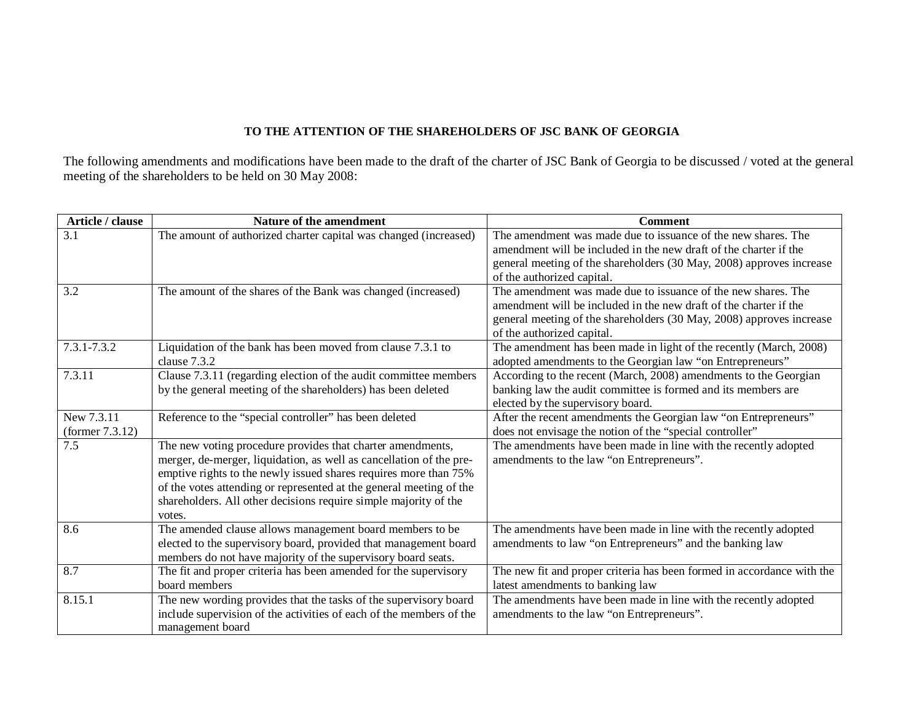## **TO THE ATTENTION OF THE SHAREHOLDERS OF JSC BANK OF GEORGIA**

The following amendments and modifications have been made to the draft of the charter of JSC Bank of Georgia to be discussed / voted at the general meeting of the shareholders to be held on 30 May 2008:

| Article / clause   | Nature of the amendment                                                                                                          | <b>Comment</b>                                                                                                                     |
|--------------------|----------------------------------------------------------------------------------------------------------------------------------|------------------------------------------------------------------------------------------------------------------------------------|
| 3.1                | The amount of authorized charter capital was changed (increased)                                                                 | The amendment was made due to issuance of the new shares. The<br>amendment will be included in the new draft of the charter if the |
|                    |                                                                                                                                  | general meeting of the shareholders (30 May, 2008) approves increase                                                               |
|                    |                                                                                                                                  | of the authorized capital.                                                                                                         |
| 3.2                | The amount of the shares of the Bank was changed (increased)                                                                     | The amendment was made due to issuance of the new shares. The                                                                      |
|                    |                                                                                                                                  | amendment will be included in the new draft of the charter if the                                                                  |
|                    |                                                                                                                                  | general meeting of the shareholders (30 May, 2008) approves increase                                                               |
|                    |                                                                                                                                  | of the authorized capital.                                                                                                         |
| 7.3.1-7.3.2        | Liquidation of the bank has been moved from clause 7.3.1 to                                                                      | The amendment has been made in light of the recently (March, 2008)                                                                 |
|                    | clause 7.3.2                                                                                                                     | adopted amendments to the Georgian law "on Entrepreneurs"                                                                          |
| 7.3.11             | Clause 7.3.11 (regarding election of the audit committee members                                                                 | According to the recent (March, 2008) amendments to the Georgian                                                                   |
|                    | by the general meeting of the shareholders) has been deleted                                                                     | banking law the audit committee is formed and its members are                                                                      |
|                    |                                                                                                                                  | elected by the supervisory board.                                                                                                  |
| New 7.3.11         | Reference to the "special controller" has been deleted                                                                           | After the recent amendments the Georgian law "on Entrepreneurs"                                                                    |
| (former $7.3.12$ ) |                                                                                                                                  | does not envisage the notion of the "special controller"                                                                           |
| 7.5                | The new voting procedure provides that charter amendments,                                                                       | The amendments have been made in line with the recently adopted                                                                    |
|                    | merger, de-merger, liquidation, as well as cancellation of the pre-                                                              | amendments to the law "on Entrepreneurs".                                                                                          |
|                    | emptive rights to the newly issued shares requires more than 75%                                                                 |                                                                                                                                    |
|                    | of the votes attending or represented at the general meeting of the                                                              |                                                                                                                                    |
|                    | shareholders. All other decisions require simple majority of the                                                                 |                                                                                                                                    |
| 8.6                | votes.                                                                                                                           |                                                                                                                                    |
|                    | The amended clause allows management board members to be                                                                         | The amendments have been made in line with the recently adopted                                                                    |
|                    | elected to the supervisory board, provided that management board<br>members do not have majority of the supervisory board seats. | amendments to law "on Entrepreneurs" and the banking law                                                                           |
| 8.7                | The fit and proper criteria has been amended for the supervisory                                                                 | The new fit and proper criteria has been formed in accordance with the                                                             |
|                    | board members                                                                                                                    | latest amendments to banking law                                                                                                   |
| 8.15.1             | The new wording provides that the tasks of the supervisory board                                                                 | The amendments have been made in line with the recently adopted                                                                    |
|                    | include supervision of the activities of each of the members of the                                                              | amendments to the law "on Entrepreneurs".                                                                                          |
|                    |                                                                                                                                  |                                                                                                                                    |
|                    | management board                                                                                                                 |                                                                                                                                    |